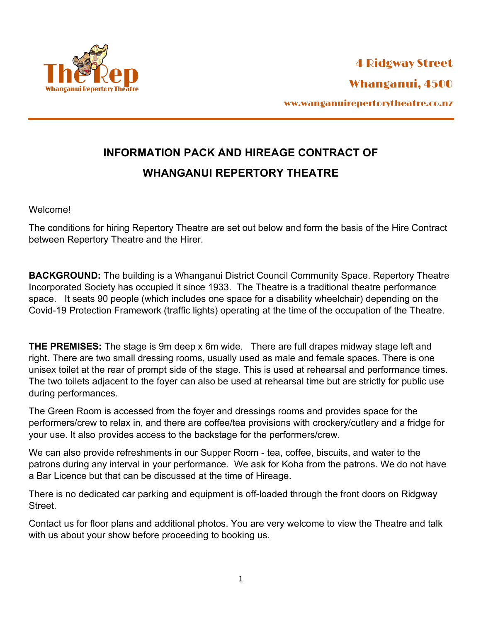

## **INFORMATION PACK AND HIREAGE CONTRACT OF WHANGANUI REPERTORY THEATRE**

Welcome!

The conditions for hiring Repertory Theatre are set out below and form the basis of the Hire Contract between Repertory Theatre and the Hirer.

**BACKGROUND:** The building is a Whanganui District Council Community Space. Repertory Theatre Incorporated Society has occupied it since 1933. The Theatre is a traditional theatre performance space. It seats 90 people (which includes one space for a disability wheelchair) depending on the Covid-19 Protection Framework (traffic lights) operating at the time of the occupation of the Theatre.

**THE PREMISES:** The stage is 9m deep x 6m wide. There are full drapes midway stage left and right. There are two small dressing rooms, usually used as male and female spaces. There is one unisex toilet at the rear of prompt side of the stage. This is used at rehearsal and performance times. The two toilets adjacent to the foyer can also be used at rehearsal time but are strictly for public use during performances.

The Green Room is accessed from the foyer and dressings rooms and provides space for the performers/crew to relax in, and there are coffee/tea provisions with crockery/cutlery and a fridge for your use. It also provides access to the backstage for the performers/crew.

We can also provide refreshments in our Supper Room - tea, coffee, biscuits, and water to the patrons during any interval in your performance. We ask for Koha from the patrons. We do not have a Bar Licence but that can be discussed at the time of Hireage.

There is no dedicated car parking and equipment is off-loaded through the front doors on Ridgway Street.

Contact us for floor plans and additional photos. You are very welcome to view the Theatre and talk with us about your show before proceeding to booking us.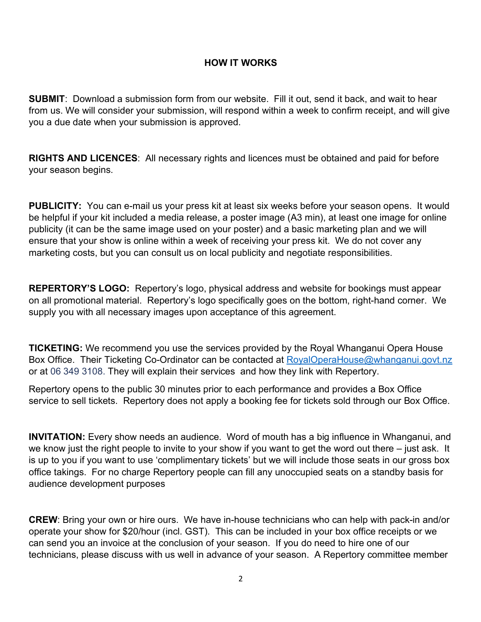## **HOW IT WORKS**

**SUBMIT**: Download a submission form from our website. Fill it out, send it back, and wait to hear from us. We will consider your submission, will respond within a week to confirm receipt, and will give you a due date when your submission is approved.

**RIGHTS AND LICENCES**: All necessary rights and licences must be obtained and paid for before your season begins.

**PUBLICITY:** You can e-mail us your press kit at least six weeks before your season opens. It would be helpful if your kit included a media release, a poster image (A3 min), at least one image for online publicity (it can be the same image used on your poster) and a basic marketing plan and we will ensure that your show is online within a week of receiving your press kit. We do not cover any marketing costs, but you can consult us on local publicity and negotiate responsibilities.

**REPERTORY'S LOGO:** Repertory's logo, physical address and website for bookings must appear on all promotional material. Repertory's logo specifically goes on the bottom, right-hand corner. We supply you with all necessary images upon acceptance of this agreement.

**TICKETING:** We recommend you use the services provided by the Royal Whanganui Opera House Box Office. Their Ticketing Co-Ordinator can be contacted at RoyalOperaHouse@whanganui.govt.nz or at 06 349 3108. They will explain their services and how they link with Repertory.

Repertory opens to the public 30 minutes prior to each performance and provides a Box Office service to sell tickets. Repertory does not apply a booking fee for tickets sold through our Box Office.

**INVITATION:** Every show needs an audience. Word of mouth has a big influence in Whanganui, and we know just the right people to invite to your show if you want to get the word out there – just ask. It is up to you if you want to use 'complimentary tickets' but we will include those seats in our gross box office takings. For no charge Repertory people can fill any unoccupied seats on a standby basis for audience development purposes

**CREW**: Bring your own or hire ours. We have in-house technicians who can help with pack-in and/or operate your show for \$20/hour (incl. GST). This can be included in your box office receipts or we can send you an invoice at the conclusion of your season. If you do need to hire one of our technicians, please discuss with us well in advance of your season. A Repertory committee member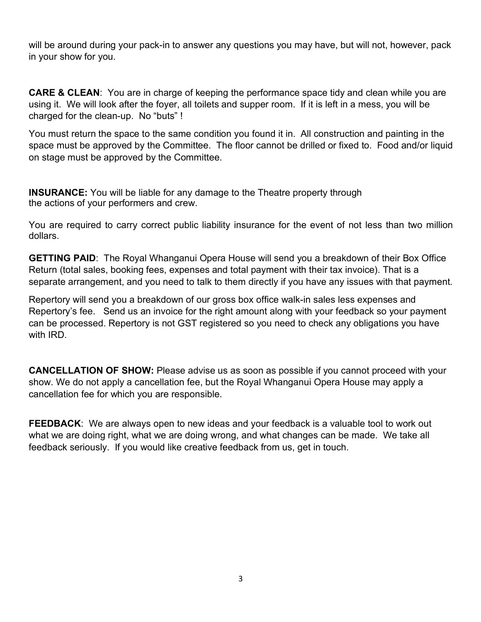will be around during your pack-in to answer any questions you may have, but will not, however, pack in your show for you.

**CARE & CLEAN**: You are in charge of keeping the performance space tidy and clean while you are using it. We will look after the foyer, all toilets and supper room. If it is left in a mess, you will be charged for the clean-up. No "buts" !

You must return the space to the same condition you found it in. All construction and painting in the space must be approved by the Committee. The floor cannot be drilled or fixed to. Food and/or liquid on stage must be approved by the Committee.

**INSURANCE:** You will be liable for any damage to the Theatre property through the actions of your performers and crew.

You are required to carry correct public liability insurance for the event of not less than two million dollars.

**GETTING PAID**: The Royal Whanganui Opera House will send you a breakdown of their Box Office Return (total sales, booking fees, expenses and total payment with their tax invoice). That is a separate arrangement, and you need to talk to them directly if you have any issues with that payment.

Repertory will send you a breakdown of our gross box office walk-in sales less expenses and Repertory's fee. Send us an invoice for the right amount along with your feedback so your payment can be processed. Repertory is not GST registered so you need to check any obligations you have with IRD.

**CANCELLATION OF SHOW:** Please advise us as soon as possible if you cannot proceed with your show. We do not apply a cancellation fee, but the Royal Whanganui Opera House may apply a cancellation fee for which you are responsible.

**FEEDBACK**: We are always open to new ideas and your feedback is a valuable tool to work out what we are doing right, what we are doing wrong, and what changes can be made. We take all feedback seriously. If you would like creative feedback from us, get in touch.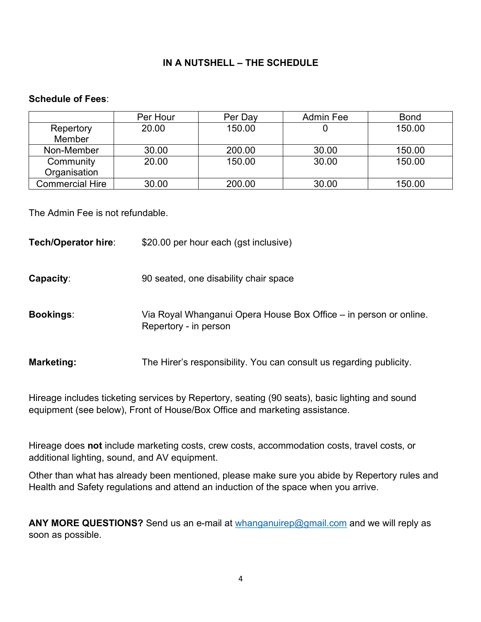## **IN A NUTSHELL – THE SCHEDULE**

## **Schedule of Fees**:

|                 | Per Hour | Per Day | Admin Fee | <b>Bond</b> |
|-----------------|----------|---------|-----------|-------------|
| Repertory       | 20.00    | 150.00  |           | 150.00      |
| Member          |          |         |           |             |
| Non-Member      | 30.00    | 200.00  | 30.00     | 150.00      |
| Community       | 20.00    | 150.00  | 30.00     | 150.00      |
| Organisation    |          |         |           |             |
| Commercial Hire | 30.00    | 200.00  | 30.00     | 150.00      |

The Admin Fee is not refundable.

**Tech/Operator hire:** \$20.00 per hour each (gst inclusive)

- **Capacity:** 90 seated, one disability chair space
- **Bookings**: Via Royal Whanganui Opera House Box Office in person or online. Repertory - in person
- **Marketing:** The Hirer's responsibility. You can consult us regarding publicity.

Hireage includes ticketing services by Repertory, seating (90 seats), basic lighting and sound equipment (see below), Front of House/Box Office and marketing assistance.

Hireage does **not** include marketing costs, crew costs, accommodation costs, travel costs, or additional lighting, sound, and AV equipment.

Other than what has already been mentioned, please make sure you abide by Repertory rules and Health and Safety regulations and attend an induction of the space when you arrive.

ANY MORE QUESTIONS? Send us an e-mail at whanganuirep@gmail.com and we will reply as soon as possible.